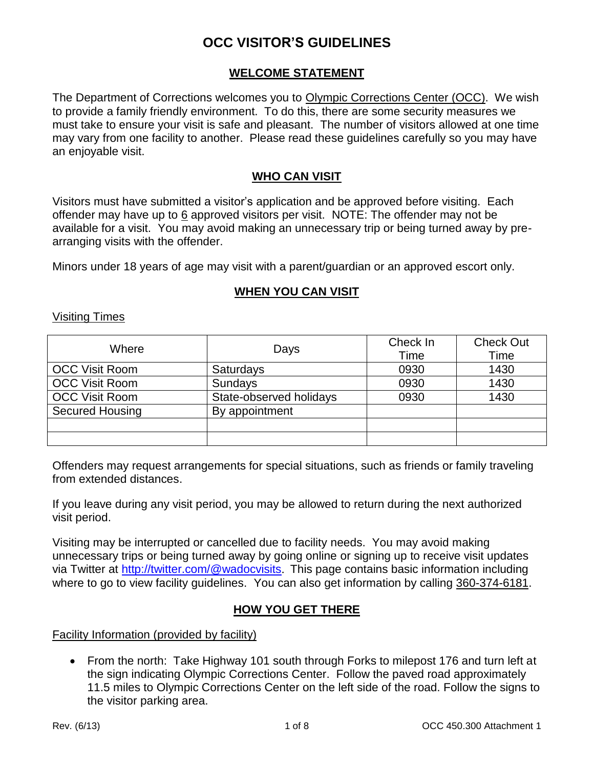### **WELCOME STATEMENT**

The Department of Corrections welcomes you to Olympic Corrections Center (OCC). We wish to provide a family friendly environment. To do this, there are some security measures we must take to ensure your visit is safe and pleasant. The number of visitors allowed at one time may vary from one facility to another. Please read these guidelines carefully so you may have an enjoyable visit.

### **WHO CAN VISIT**

Visitors must have submitted a visitor's application and be approved before visiting. Each offender may have up to 6 approved visitors per visit. NOTE: The offender may not be available for a visit. You may avoid making an unnecessary trip or being turned away by prearranging visits with the offender.

Minors under 18 years of age may visit with a parent/guardian or an approved escort only.

### **WHEN YOU CAN VISIT**

#### Visiting Times

| Where                  | Days                    | Check In | <b>Check Out</b> |
|------------------------|-------------------------|----------|------------------|
|                        |                         | Time     | Time             |
| <b>OCC Visit Room</b>  | <b>Saturdays</b>        | 0930     | 1430             |
| <b>OCC Visit Room</b>  | <b>Sundays</b>          | 0930     | 1430             |
| <b>OCC Visit Room</b>  | State-observed holidays | 0930     | 1430             |
| <b>Secured Housing</b> | By appointment          |          |                  |
|                        |                         |          |                  |
|                        |                         |          |                  |

Offenders may request arrangements for special situations, such as friends or family traveling from extended distances.

If you leave during any visit period, you may be allowed to return during the next authorized visit period.

Visiting may be interrupted or cancelled due to facility needs. You may avoid making unnecessary trips or being turned away by going online or signing up to receive visit updates via Twitter at <http://twitter.com/@wadocvisits>. This page contains basic information including where to go to view facility quidelines. You can also get information by calling 360-374-6181.

### **HOW YOU GET THERE**

Facility Information (provided by facility)

• From the north: Take Highway 101 south through Forks to milepost 176 and turn left at the sign indicating Olympic Corrections Center. Follow the paved road approximately 11.5 miles to Olympic Corrections Center on the left side of the road. Follow the signs to the visitor parking area.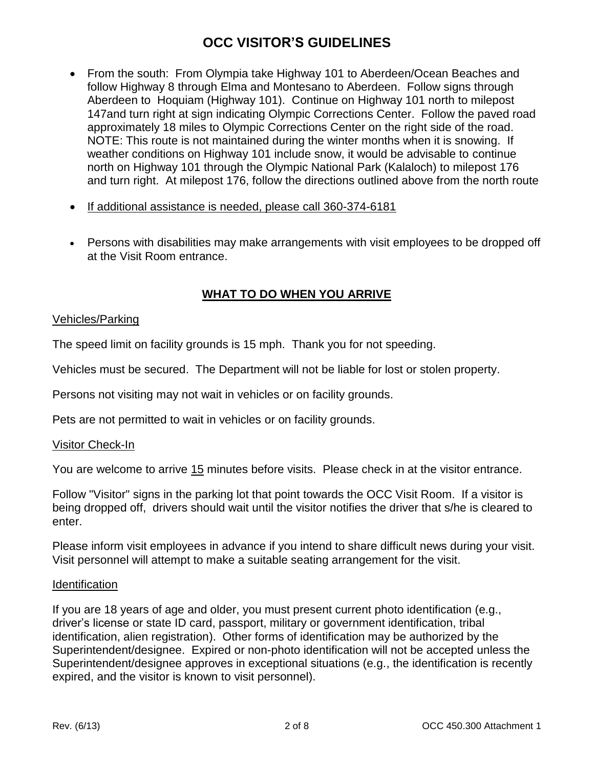- From the south: From Olympia take Highway 101 to Aberdeen/Ocean Beaches and follow Highway 8 through Elma and Montesano to Aberdeen. Follow signs through Aberdeen to Hoquiam (Highway 101). Continue on Highway 101 north to milepost 147and turn right at sign indicating Olympic Corrections Center. Follow the paved road approximately 18 miles to Olympic Corrections Center on the right side of the road. NOTE: This route is not maintained during the winter months when it is snowing. If weather conditions on Highway 101 include snow, it would be advisable to continue north on Highway 101 through the Olympic National Park (Kalaloch) to milepost 176 and turn right. At milepost 176, follow the directions outlined above from the north route
- If additional assistance is needed, please call 360-374-6181
- Persons with disabilities may make arrangements with visit employees to be dropped off at the Visit Room entrance.

### **WHAT TO DO WHEN YOU ARRIVE**

### Vehicles/Parking

The speed limit on facility grounds is 15 mph. Thank you for not speeding.

Vehicles must be secured. The Department will not be liable for lost or stolen property.

Persons not visiting may not wait in vehicles or on facility grounds.

Pets are not permitted to wait in vehicles or on facility grounds.

#### Visitor Check-In

You are welcome to arrive 15 minutes before visits. Please check in at the visitor entrance.

Follow "Visitor" signs in the parking lot that point towards the OCC Visit Room. If a visitor is being dropped off, drivers should wait until the visitor notifies the driver that s/he is cleared to enter.

Please inform visit employees in advance if you intend to share difficult news during your visit. Visit personnel will attempt to make a suitable seating arrangement for the visit.

#### **Identification**

If you are 18 years of age and older, you must present current photo identification (e.g., driver's license or state ID card, passport, military or government identification, tribal identification, alien registration). Other forms of identification may be authorized by the Superintendent/designee. Expired or non-photo identification will not be accepted unless the Superintendent/designee approves in exceptional situations (e.g., the identification is recently expired, and the visitor is known to visit personnel).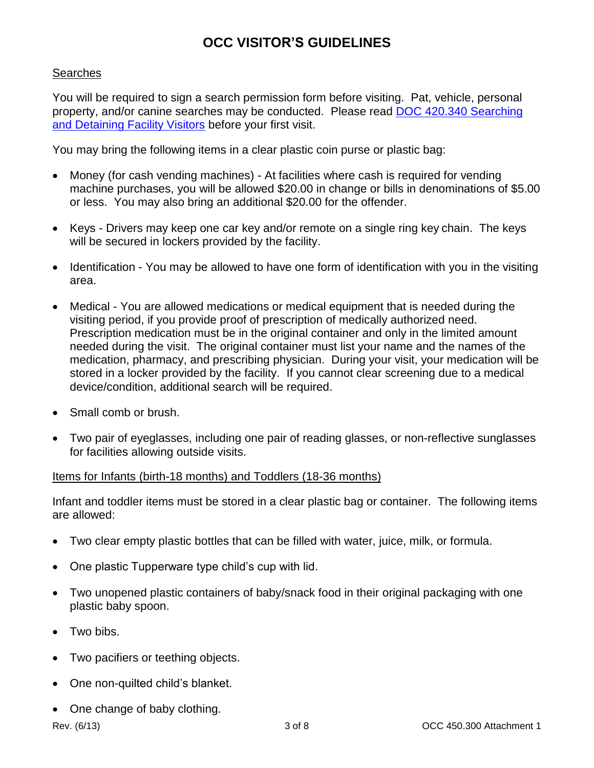### **Searches**

You will be required to sign a search permission form before visiting. Pat, vehicle, personal property, and/or canine searches may be conducted. Please read [DOC 420.340](http://www.doc.wa.gov/policies/showFile.aspx?name=420340) Searching [and Detaining Facility Visitors](http://www.doc.wa.gov/policies/showFile.aspx?name=420340) before your first visit.

You may bring the following items in a clear plastic coin purse or plastic bag:

- Money (for cash vending machines) At facilities where cash is required for vending machine purchases, you will be allowed \$20.00 in change or bills in denominations of \$5.00 or less. You may also bring an additional \$20.00 for the offender.
- Keys Drivers may keep one car key and/or remote on a single ring key chain. The keys will be secured in lockers provided by the facility.
- Identification You may be allowed to have one form of identification with you in the visiting area.
- Medical You are allowed medications or medical equipment that is needed during the visiting period, if you provide proof of prescription of medically authorized need. Prescription medication must be in the original container and only in the limited amount needed during the visit. The original container must list your name and the names of the medication, pharmacy, and prescribing physician. During your visit, your medication will be stored in a locker provided by the facility. If you cannot clear screening due to a medical device/condition, additional search will be required.
- Small comb or brush.
- Two pair of eyeglasses, including one pair of reading glasses, or non-reflective sunglasses for facilities allowing outside visits.

### Items for Infants (birth-18 months) and Toddlers (18-36 months)

Infant and toddler items must be stored in a clear plastic bag or container. The following items are allowed:

- Two clear empty plastic bottles that can be filled with water, juice, milk, or formula.
- One plastic Tupperware type child's cup with lid.
- Two unopened plastic containers of baby/snack food in their original packaging with one plastic baby spoon.
- Two bibs.
- Two pacifiers or teething objects.
- One non-quilted child's blanket.
- One change of baby clothing.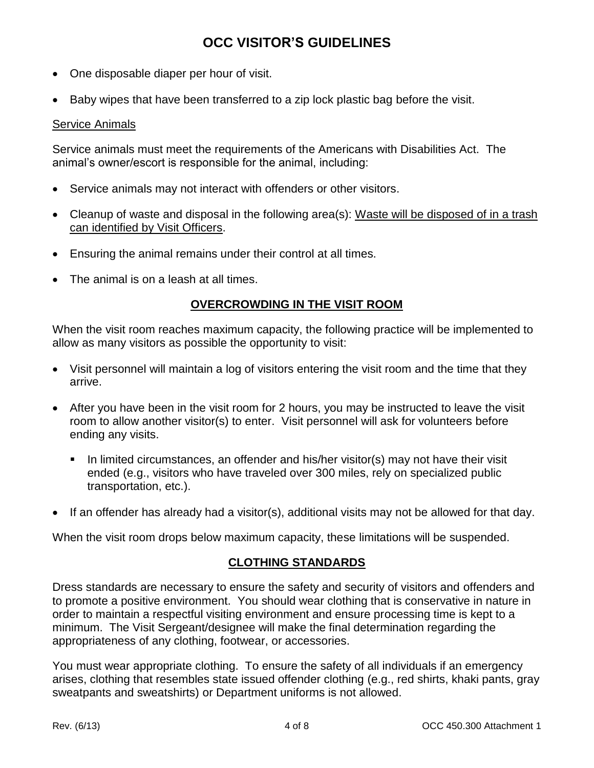- One disposable diaper per hour of visit.
- Baby wipes that have been transferred to a zip lock plastic bag before the visit.

### Service Animals

Service animals must meet the requirements of the Americans with Disabilities Act. The animal's owner/escort is responsible for the animal, including:

- Service animals may not interact with offenders or other visitors.
- Cleanup of waste and disposal in the following area(s): Waste will be disposed of in a trash can identified by Visit Officers.
- Ensuring the animal remains under their control at all times.
- The animal is on a leash at all times.

### **OVERCROWDING IN THE VISIT ROOM**

When the visit room reaches maximum capacity, the following practice will be implemented to allow as many visitors as possible the opportunity to visit:

- Visit personnel will maintain a log of visitors entering the visit room and the time that they arrive.
- After you have been in the visit room for 2 hours, you may be instructed to leave the visit room to allow another visitor(s) to enter. Visit personnel will ask for volunteers before ending any visits.
	- In limited circumstances, an offender and his/her visitor(s) may not have their visit ended (e.g., visitors who have traveled over 300 miles, rely on specialized public transportation, etc.).
- If an offender has already had a visitor(s), additional visits may not be allowed for that day.

When the visit room drops below maximum capacity, these limitations will be suspended.

### **CLOTHING STANDARDS**

Dress standards are necessary to ensure the safety and security of visitors and offenders and to promote a positive environment. You should wear clothing that is conservative in nature in order to maintain a respectful visiting environment and ensure processing time is kept to a minimum. The Visit Sergeant/designee will make the final determination regarding the appropriateness of any clothing, footwear, or accessories.

You must wear appropriate clothing. To ensure the safety of all individuals if an emergency arises, clothing that resembles state issued offender clothing (e.g., red shirts, khaki pants, gray sweatpants and sweatshirts) or Department uniforms is not allowed.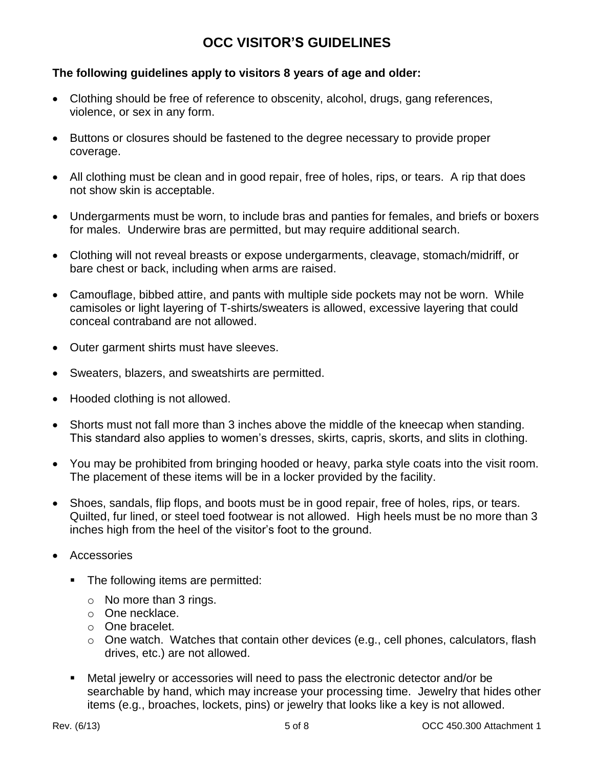### **The following guidelines apply to visitors 8 years of age and older:**

- Clothing should be free of reference to obscenity, alcohol, drugs, gang references, violence, or sex in any form.
- Buttons or closures should be fastened to the degree necessary to provide proper coverage.
- All clothing must be clean and in good repair, free of holes, rips, or tears. A rip that does not show skin is acceptable.
- Undergarments must be worn, to include bras and panties for females, and briefs or boxers for males. Underwire bras are permitted, but may require additional search.
- Clothing will not reveal breasts or expose undergarments, cleavage, stomach/midriff, or bare chest or back, including when arms are raised.
- Camouflage, bibbed attire, and pants with multiple side pockets may not be worn. While camisoles or light layering of T-shirts/sweaters is allowed, excessive layering that could conceal contraband are not allowed.
- Outer garment shirts must have sleeves.
- Sweaters, blazers, and sweatshirts are permitted.
- Hooded clothing is not allowed.
- Shorts must not fall more than 3 inches above the middle of the kneecap when standing. This standard also applies to women's dresses, skirts, capris, skorts, and slits in clothing.
- You may be prohibited from bringing hooded or heavy, parka style coats into the visit room. The placement of these items will be in a locker provided by the facility.
- Shoes, sandals, flip flops, and boots must be in good repair, free of holes, rips, or tears. Quilted, fur lined, or steel toed footwear is not allowed. High heels must be no more than 3 inches high from the heel of the visitor's foot to the ground.
- Accessories
	- The following items are permitted:
		- o No more than 3 rings.
		- o One necklace.
		- o One bracelet.
		- o One watch. Watches that contain other devices (e.g., cell phones, calculators, flash drives, etc.) are not allowed.
	- Metal jewelry or accessories will need to pass the electronic detector and/or be searchable by hand, which may increase your processing time. Jewelry that hides other items (e.g., broaches, lockets, pins) or jewelry that looks like a key is not allowed.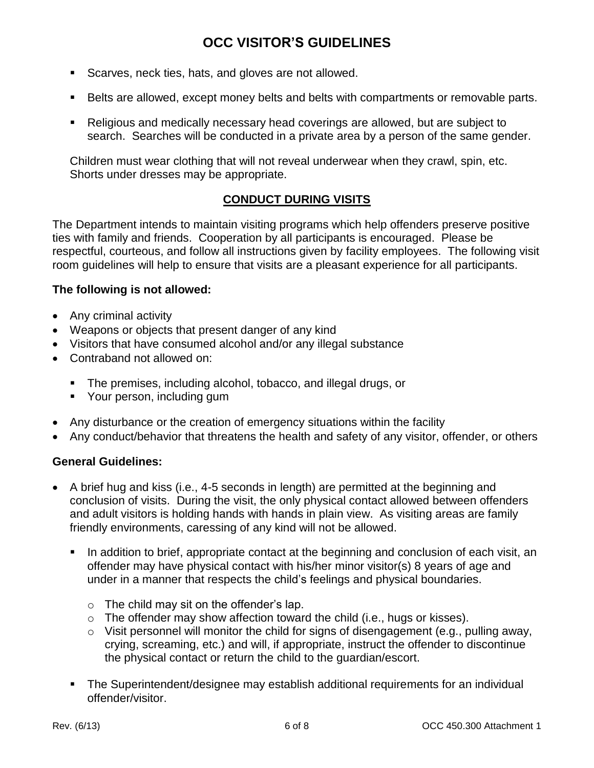- Scarves, neck ties, hats, and gloves are not allowed.
- Belts are allowed, except money belts and belts with compartments or removable parts.
- Religious and medically necessary head coverings are allowed, but are subject to search. Searches will be conducted in a private area by a person of the same gender.

Children must wear clothing that will not reveal underwear when they crawl, spin, etc. Shorts under dresses may be appropriate.

### **CONDUCT DURING VISITS**

The Department intends to maintain visiting programs which help offenders preserve positive ties with family and friends. Cooperation by all participants is encouraged. Please be respectful, courteous, and follow all instructions given by facility employees. The following visit room guidelines will help to ensure that visits are a pleasant experience for all participants.

### **The following is not allowed:**

- Any criminal activity
- Weapons or objects that present danger of any kind
- Visitors that have consumed alcohol and/or any illegal substance
- Contraband not allowed on:
	- The premises, including alcohol, tobacco, and illegal drugs, or
	- **•** Your person, including gum
- Any disturbance or the creation of emergency situations within the facility
- Any conduct/behavior that threatens the health and safety of any visitor, offender, or others

### **General Guidelines:**

- A brief hug and kiss (i.e., 4-5 seconds in length) are permitted at the beginning and conclusion of visits. During the visit, the only physical contact allowed between offenders and adult visitors is holding hands with hands in plain view. As visiting areas are family friendly environments, caressing of any kind will not be allowed.
	- In addition to brief, appropriate contact at the beginning and conclusion of each visit, an offender may have physical contact with his/her minor visitor(s) 8 years of age and under in a manner that respects the child's feelings and physical boundaries.
		- $\circ$  The child may sit on the offender's lap.
		- o The offender may show affection toward the child (i.e., hugs or kisses).
		- $\circ$  Visit personnel will monitor the child for signs of disengagement (e.g., pulling away, crying, screaming, etc.) and will, if appropriate, instruct the offender to discontinue the physical contact or return the child to the guardian/escort.
	- The Superintendent/designee may establish additional requirements for an individual offender/visitor.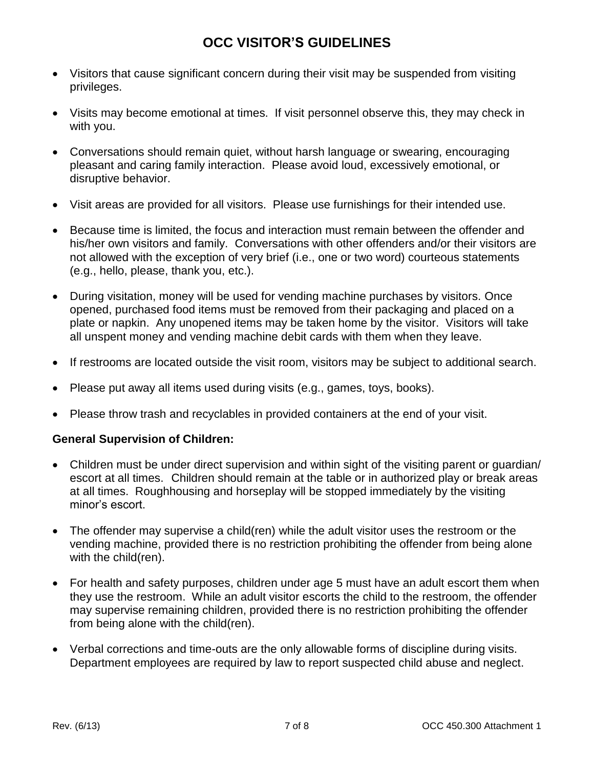- Visitors that cause significant concern during their visit may be suspended from visiting privileges.
- Visits may become emotional at times. If visit personnel observe this, they may check in with you.
- Conversations should remain quiet, without harsh language or swearing, encouraging pleasant and caring family interaction. Please avoid loud, excessively emotional, or disruptive behavior.
- Visit areas are provided for all visitors. Please use furnishings for their intended use.
- Because time is limited, the focus and interaction must remain between the offender and his/her own visitors and family. Conversations with other offenders and/or their visitors are not allowed with the exception of very brief (i.e., one or two word) courteous statements (e.g., hello, please, thank you, etc.).
- During visitation, money will be used for vending machine purchases by visitors. Once opened, purchased food items must be removed from their packaging and placed on a plate or napkin. Any unopened items may be taken home by the visitor. Visitors will take all unspent money and vending machine debit cards with them when they leave.
- If restrooms are located outside the visit room, visitors may be subject to additional search.
- Please put away all items used during visits (e.g., games, toys, books).
- Please throw trash and recyclables in provided containers at the end of your visit.

### **General Supervision of Children:**

- Children must be under direct supervision and within sight of the visiting parent or guardian/ escort at all times. Children should remain at the table or in authorized play or break areas at all times. Roughhousing and horseplay will be stopped immediately by the visiting minor's escort.
- The offender may supervise a child(ren) while the adult visitor uses the restroom or the vending machine, provided there is no restriction prohibiting the offender from being alone with the child(ren).
- For health and safety purposes, children under age 5 must have an adult escort them when they use the restroom. While an adult visitor escorts the child to the restroom, the offender may supervise remaining children, provided there is no restriction prohibiting the offender from being alone with the child(ren).
- Verbal corrections and time-outs are the only allowable forms of discipline during visits. Department employees are required by law to report suspected child abuse and neglect.